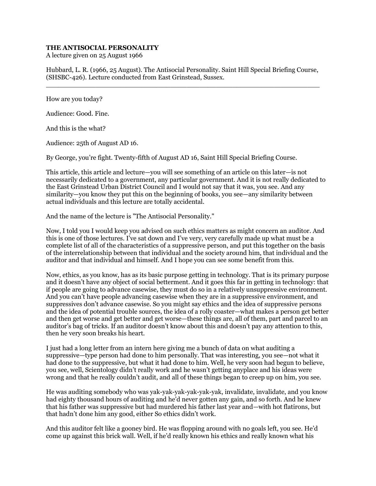## **THE ANTISOCIAL PERSONALITY**

A lecture given on 25 August 1966

Hubbard, L. R. (1966, 25 August). The Antisocial Personality. Saint Hill Special Briefing Course, (SHSBC-426). Lecture conducted from East Grinstead, Sussex.  $\_$  , and the set of the set of the set of the set of the set of the set of the set of the set of the set of the set of the set of the set of the set of the set of the set of the set of the set of the set of the set of th

How are you today?

Audience: Good. Fine.

And this is the what?

Audience: 25th of August AD 16.

By George, you're fight. Twenty-fifth of August AD 16, Saint Hill Special Briefing Course.

This article, this article and lecture—you will see something of an article on this later—is not necessarily dedicated to a government, any particular government. And it is not really dedicated to the East Grinstead Urban District Council and I would not say that it was, you see. And any similarity—you know they put this on the beginning of books, you see—any similarity between actual individuals and this lecture are totally accidental.

And the name of the lecture is "The Antisocial Personality."

Now, I told you I would keep you advised on such ethics matters as might concern an auditor. And this is one of those lectures. I've sat down and I've very, very carefully made up what must be a complete list of all of the characteristics of a suppressive person, and put this together on the basis of the interrelationship between that individual and the society around him, that individual and the auditor and that individual and himself. And I hope you can see some benefit from this.

Now, ethics, as you know, has as its basic purpose getting in technology. That is its primary purpose and it doesn't have any object of social betterment. And it goes this far in getting in technology: that if people are going to advance casewise, they must do so in a relatively unsuppressive environment. And you can't have people advancing casewise when they are in a suppressive environment, and suppressives don't advance casewise. So you might say ethics and the idea of suppressive persons and the idea of potential trouble sources, the idea of a rolly coaster—what makes a person get better and then get worse and get better and get worse—these things are, all of them, part and parcel to an auditor's bag of tricks. If an auditor doesn't know about this and doesn't pay any attention to this, then he very soon breaks his heart.

I just had a long letter from an intern here giving me a bunch of data on what auditing a suppressive—type person had done to him personally. That was interesting, you see—not what it had done to the suppressive, but what it had done to him. Well, he very soon had begun to believe, you see, well, Scientology didn't really work and he wasn't getting anyplace and his ideas were wrong and that he really couldn't audit, and all of these things began to creep up on him, you see.

He was auditing somebody who was yak-yak-yak-yak-yak-yak, invalidate, invalidate, and you know had eighty thousand hours of auditing and he'd never gotten any gain, and so forth. And he knew that his father was suppressive but had murdered his father last year and—with hot flatirons, but that hadn't done him any good, either So ethics didn't work.

And this auditor felt like a gooney bird. He was flopping around with no goals left, you see. He'd come up against this brick wall. Well, if he'd really known his ethics and really known what his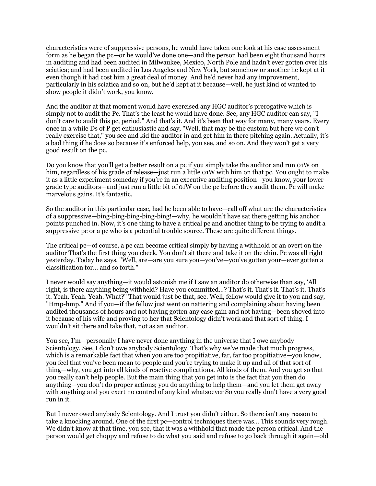characteristics were of suppressive persons, he would have taken one look at his case assessment form as he began the pc—or he would've done one—and the person had been eight thousand hours in auditing and had been audited in Milwaukee, Mexico, North Pole and hadn't ever gotten over his sciatica; and had been audited in Los Angeles and New York, but somehow or another he kept at it even though it had cost him a great deal of money. And he'd never had any improvement, particularly in his sciatica and so on, but he'd kept at it because—well, he just kind of wanted to show people it didn't work, you know.

And the auditor at that moment would have exercised any HGC auditor's prerogative which is simply not to audit the Pc. That's the least he would have done. See, any HGC auditor can say, "I don't care to audit this pc, period." And that's it. And it's been that way for many, many years. Every once in a while Ds of P get enthusiastic and say, "Well, that may be the custom but here we don't really exercise that," you see and kid the auditor in and get him in there pitching again. Actually, it's a bad thing if he does so because it's enforced help, you see, and so on. And they won't get a very good result on the pc.

Do you know that you'll get a better result on a pc if you simply take the auditor and run 01W on him, regardless of his grade of release—just run a little 01W with him on that pc. You ought to make it as a little experiment someday if you're in an executive auditing position—you know, your lower grade type auditors—and just run a little bit of 01W on the pc before they audit them. Pc will make marvelous gains. It's fantastic.

So the auditor in this particular case, had he been able to have—call off what are the characteristics of a suppressive—bing-bing-bing-bing-bing!—why, he wouldn't have sat there getting his anchor points punched in. Now, it's one thing to have a critical pc and another thing to be trying to audit a suppressive pc or a pc who is a potential trouble source. These are quite different things.

The critical pc—of course, a pc can become critical simply by having a withhold or an overt on the auditor That's the first thing you check. You don't sit there and take it on the chin. Pc was all right yesterday. Today he says, "Well, are—are you sure you—you've—you've gotten your—ever gotten a classification for… and so forth."

I never would say anything—it would astonish me if I saw an auditor do otherwise than say, 'All right, is there anything being withheld? Have you committed…? That's it. That's it. That's it. That's it. Yeah. Yeah. Yeah. What?" That would just be that, see. Well, fellow would give it to you and say, "Hmp-hmp." And if you—if the fellow just went on nattering and complaining about having been audited thousands of hours and not having gotten any case gain and not having—been shoved into it because of his wife and proving to her that Scientology didn't work and that sort of thing. I wouldn't sit there and take that, not as an auditor.

You see, I'm—personally I have never done anything in the universe that I owe anybody Scientology. See, I don't owe anybody Scientology. That's why we've made that much progress, which is a remarkable fact that when you are too propitiative, far, far too propitiative—you know, you feel that you've been mean to people and you're trying to make it up and all of that sort of thing—why, you get into all kinds of reactive complications. All kinds of them. And you get so that you really can't help people. But the main thing that you get into is the fact that you then do anything—you don't do proper actions; you do anything to help them—and you let them get away with anything and you exert no control of any kind whatsoever So you really don't have a very good run in it.

But I never owed anybody Scientology. And I trust you didn't either. So there isn't any reason to take a knocking around. One of the first pc—control techniques there was… This sounds very rough. We didn't know at that time, you see, that it was a withhold that made the person critical. And the person would get choppy and refuse to do what you said and refuse to go back through it again—old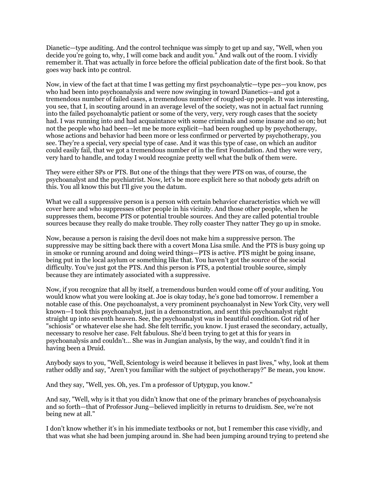Dianetic—type auditing. And the control technique was simply to get up and say, "Well, when you decide you're going to, why, I will come back and audit you." And walk out of the room. I vividly remember it. That was actually in force before the official publication date of the first book. So that goes way back into pc control.

Now, in view of the fact at that time I was getting my first psychoanalytic—type pcs—you know, pcs who had been into psychoanalysis and were now swinging in toward Dianetics—and got a tremendous number of failed cases, a tremendous number of roughed-up people. It was interesting, you see, that I, in scouting around in an average level of the society, was not in actual fact running into the failed psychoanalytic patient or some of the very, very, very rough cases that the society had. I was running into and had acquaintance with some criminals and some insane and so on; but not the people who had been—let me be more explicit—had been roughed up by psychotherapy, whose actions and behavior had been more or less confirmed or perverted by psychotherapy, you see. They're a special, very special type of case. And it was this type of case, on which an auditor could easily fail, that we got a tremendous number of in the first Foundation. And they were very, very hard to handle, and today I would recognize pretty well what the bulk of them were.

They were either SPs or PTS. But one of the things that they were PTS on was, of course, the psychoanalyst and the psychiatrist. Now, let's be more explicit here so that nobody gets adrift on this. You all know this but I'll give you the datum.

What we call a suppressive person is a person with certain behavior characteristics which we will cover here and who suppresses other people in his vicinity. And those other people, when he suppresses them, become PTS or potential trouble sources. And they are called potential trouble sources because they really do make trouble. They rolly coaster They natter They go up in smoke.

Now, because a person is raising the devil does not make him a suppressive person. The suppressive may be sitting back there with a covert Mona Lisa smile. And the PTS is busy going up in smoke or running around and doing weird things—PTS is active. PTS might be going insane, being put in the local asylum or something like that. You haven't got the source of the social difficulty. You've just got the PTS. And this person is PTS, a potential trouble source, simply because they are intimately associated with a suppressive.

Now, if you recognize that all by itself, a tremendous burden would come off of your auditing. You would know what you were looking at. Joe is okay today, he's gone bad tomorrow. I remember a notable case of this. One psychoanalyst, a very prominent psychoanalyst in New York City, very well known—I took this psychoanalyst, just in a demonstration, and sent this psychoanalyst right straight up into seventh heaven. See, the psychoanalyst was in beautiful condition. Got rid of her "schiosis" or whatever else she had. She felt terrific, you know. I just erased the secondary, actually, necessary to resolve her case. Felt fabulous. She'd been trying to get at this for years in psychoanalysis and couldn't… She was in Jungian analysis, by the way, and couldn't find it in having been a Druid.

Anybody says to you, "Well, Scientology is weird because it believes in past lives," why, look at them rather oddly and say, "Aren't you familiar with the subject of psychotherapy?" Be mean, you know.

And they say, "Well, yes. Oh, yes. I'm a professor of Uptygup, you know."

And say, "Well, why is it that you didn't know that one of the primary branches of psychoanalysis and so forth—that of Professor Jung—believed implicitly in returns to druidism. See, we're not being new at all."

I don't know whether it's in his immediate textbooks or not, but I remember this case vividly, and that was what she had been jumping around in. She had been jumping around trying to pretend she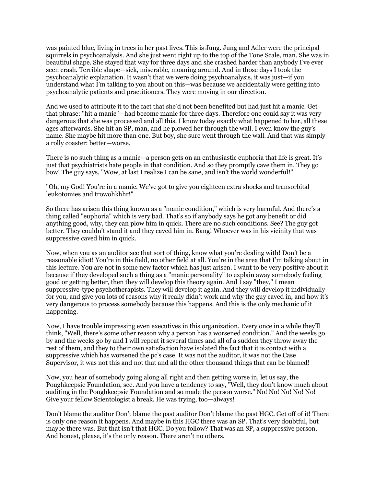was painted blue, living in trees in her past lives. This is Jung. Jung and Adler were the principal squirrels in psychoanalysis. And she just went right up to the top of the Tone Scale, man. She was in beautiful shape. She stayed that way for three days and she crashed harder than anybody I've ever seen crash. Terrible shape—sick, miserable, moaning around. And in those days I took the psychoanalytic explanation. It wasn't that we were doing psychoanalysis, it was just—if you understand what I'm talking to you about on this—was because we accidentally were getting into psychoanalytic patients and practitioners. They were moving in our direction.

And we used to attribute it to the fact that she'd not been benefited but had just hit a manic. Get that phrase: "hit a manic"—had become manic for three days. Therefore one could say it was very dangerous that she was processed and all this. I know today exactly what happened to her, all these ages afterwards. She hit an SP, man, and he plowed her through the wall. I even know the guy's name. She maybe hit more than one. But boy, she sure went through the wall. And that was simply a rolly coaster: better—worse.

There is no such thing as a manic—a person gets on an enthusiastic euphoria that life is great. It's just that psychiatrists hate people in that condition. And so they promptly cave them in. They go bow! The guy says, "Wow, at last I realize I can be sane, and isn't the world wonderful!"

"Oh, my God! You're in a manic. We've got to give you eighteen extra shocks and transorbital leukotomies and trowohkhhr!"

So there has arisen this thing known as a "manic condition," which is very harmful. And there's a thing called "euphoria" which is very bad. That's so if anybody says he got any benefit or did anything good, why, they can plow him in quick. There are no such conditions. See? The guy got better. They couldn't stand it and they caved him in. Bang! Whoever was in his vicinity that was suppressive caved him in quick.

Now, when you as an auditor see that sort of thing, know what you're dealing with! Don't be a reasonable idiot! You're in this field, no other field at all. You're in the area that I'm talking about in this lecture. You are not in some new factor which has just arisen. I want to be very positive about it because if they developed such a thing as a "manic personality" to explain away somebody feeling good or getting better, then they will develop this theory again. And I say "they," I mean suppressive-type psychotherapists. They will develop it again. And they will develop it individually for you, and give you lots of reasons why it really didn't work and why the guy caved in, and how it's very dangerous to process somebody because this happens. And this is the only mechanic of it happening.

Now, I have trouble impressing even executives in this organization. Every once in a while they'll think, "Well, there's some other reason why a person has a worsened condition." And the weeks go by and the weeks go by and I will repeat it several times and all of a sudden they throw away the rest of them, and they to their own satisfaction have isolated the fact that it is contact with a suppressive which has worsened the pc's case. It was not the auditor, it was not the Case Supervisor, it was not this and not that and all the other thousand things that can be blamed!

Now, you hear of somebody going along all right and then getting worse in, let us say, the Poughkeepsie Foundation, see. And you have a tendency to say, "Well, they don't know much about auditing in the Poughkeepsie Foundation and so made the person worse." No! No! No! No! No! Give your fellow Scientologist a break. He was trying, too—always!

Don't blame the auditor Don't blame the past auditor Don't blame the past HGC. Get off of it! There is only one reason it happens. And maybe in this HGC there was an SP. That's very doubtful, but maybe there was. But that isn't that HGC. Do you follow? That was an SP, a suppressive person. And honest, please, it's the only reason. There aren't no others.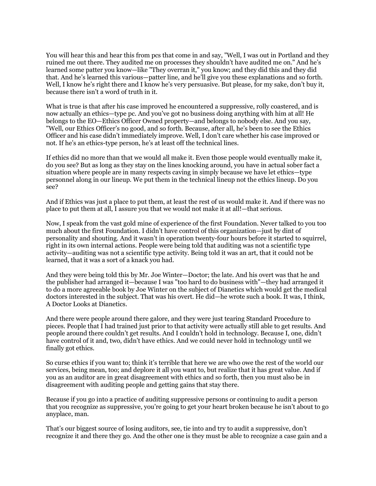You will hear this and hear this from pcs that come in and say, "Well, I was out in Portland and they ruined me out there. They audited me on processes they shouldn't have audited me on." And he's learned some patter you know—like "They overran it," you know; and they did this and they did that. And he's learned this various—patter line, and he'll give you these explanations and so forth. Well, I know he's right there and I know he's very persuasive. But please, for my sake, don't buy it, because there isn't a word of truth in it.

What is true is that after his case improved he encountered a suppressive, rolly coastered, and is now actually an ethics—type pc. And you've got no business doing anything with him at all! He belongs to the EO—Ethics Officer Owned property—and belongs to nobody else. And you say, "Well, our Ethics Officer's no good, and so forth. Because, after all, he's been to see the Ethics Officer and his case didn't immediately improve. Well, I don't care whether his case improved or not. If he's an ethics-type person, he's at least off the technical lines.

If ethics did no more than that we would all make it. Even those people would eventually make it, do you see? But as long as they stay on the lines knocking around, you have in actual sober fact a situation where people are in many respects caving in simply because we have let ethics—type personnel along in our lineup. We put them in the technical lineup not the ethics lineup. Do you see?

And if Ethics was just a place to put them, at least the rest of us would make it. And if there was no place to put them at all, I assure you that we would not make it at all!—that serious.

Now, I speak from the vast gold mine of experience of the first Foundation. Never talked to you too much about the first Foundation. I didn't have control of this organization—just by dint of personality and shouting. And it wasn't in operation twenty-four hours before it started to squirrel, right in its own internal actions. People were being told that auditing was not a scientific type activity—auditing was not a scientific type activity. Being told it was an art, that it could not be learned, that it was a sort of a knack you had.

And they were being told this by Mr. Joe Winter—Doctor; the late. And his overt was that he and the publisher had arranged it—because I was "too hard to do business with"—they had arranged it to do a more agreeable book by Joe Winter on the subject of Dianetics which would get the medical doctors interested in the subject. That was his overt. He did—he wrote such a book. It was, I think, A Doctor Looks at Dianetics.

And there were people around there galore, and they were just tearing Standard Procedure to pieces. People that I had trained just prior to that activity were actually still able to get results. And people around there couldn't get results. And I couldn't hold in technology. Because I, one, didn't have control of it and, two, didn't have ethics. And we could never hold in technology until we finally got ethics.

So curse ethics if you want to; think it's terrible that here we are who owe the rest of the world our services, being mean, too; and deplore it all you want to, but realize that it has great value. And if you as an auditor are in great disagreement with ethics and so forth, then you must also be in disagreement with auditing people and getting gains that stay there.

Because if you go into a practice of auditing suppressive persons or continuing to audit a person that you recognize as suppressive, you're going to get your heart broken because he isn't about to go anyplace, man.

That's our biggest source of losing auditors, see, tie into and try to audit a suppressive, don't recognize it and there they go. And the other one is they must be able to recognize a case gain and a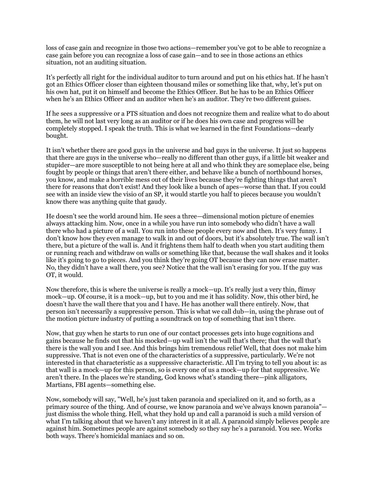loss of case gain and recognize in those two actions—remember you've got to be able to recognize a case gain before you can recognize a loss of case gain—and to see in those actions an ethics situation, not an auditing situation.

It's perfectly all right for the individual auditor to turn around and put on his ethics hat. If he hasn't got an Ethics Officer closer than eighteen thousand miles or something like that, why, let's put on his own hat, put it on himself and become the Ethics Officer. But he has to be an Ethics Officer when he's an Ethics Officer and an auditor when he's an auditor. They're two different guises.

If he sees a suppressive or a PTS situation and does not recognize them and realize what to do about them, he will not last very long as an auditor or if he does his own case and progress will be completely stopped. I speak the truth. This is what we learned in the first Foundations—dearly bought.

It isn't whether there are good guys in the universe and bad guys in the universe. It just so happens that there are guys in the universe who—really no different than other guys, if a little bit weaker and stupider—are more susceptible to not being here at all and who think they are someplace else, being fought by people or things that aren't there either, and behave like a bunch of northbound horses, you know, and make a horrible mess out of their lives because they're fighting things that aren't there for reasons that don't exist! And they look like a bunch of apes—worse than that. If you could see with an inside view the visio of an SP, it would startle you half to pieces because you wouldn't know there was anything quite that gaudy.

He doesn't see the world around him. He sees a three—dimensional motion picture of enemies always attacking him. Now, once in a while you have run into somebody who didn't have a wall there who had a picture of a wall. You run into these people every now and then. It's very funny. I don't know how they even manage to walk in and out of doors, but it's absolutely true. The wall isn't there, but a picture of the wall is. And it frightens them half to death when you start auditing them or running reach and withdraw on walls or something like that, because the wall shakes and it looks like it's going to go to pieces. And you think they're going OT because they can now erase matter. No, they didn't have a wall there, you see? Notice that the wall isn't erasing for you. If the guy was OT, it would.

Now therefore, this is where the universe is really a mock—up. It's really just a very thin, flimsy mock—up. Of course, it is a mock—up, but to you and me it has solidity. Now, this other bird, he doesn't have the wall there that you and I have. He has another wall there entirely. Now, that person isn't necessarily a suppressive person. This is what we call dub—in, using the phrase out of the motion picture industry of putting a soundtrack on top of something that isn't there.

Now, that guy when he starts to run one of our contact processes gets into huge cognitions and gains because he finds out that his mocked—up wall isn't the wall that's there; that the wall that's there is the wall you and I see. And this brings him tremendous relief Well, that does not make him suppressive. That is not even one of the characteristics of a suppressive, particularly. We're not interested in that characteristic as a suppressive characteristic. All I'm trying to tell you about is: as that wall is a mock—up for this person, so is every one of us a mock—up for that suppressive. We aren't there. In the places we're standing, God knows what's standing there—pink alligators, Martians, FBI agents—something else.

Now, somebody will say, "Well, he's just taken paranoia and specialized on it, and so forth, as a primary source of the thing. And of course, we know paranoia and we've always known paranoia" just dismiss the whole thing. Hell, what they hold up and call a paranoid is such a mild version of what I'm talking about that we haven't any interest in it at all. A paranoid simply believes people are against him. Sometimes people are against somebody so they say he's a paranoid. You see. Works both ways. There's homicidal maniacs and so on.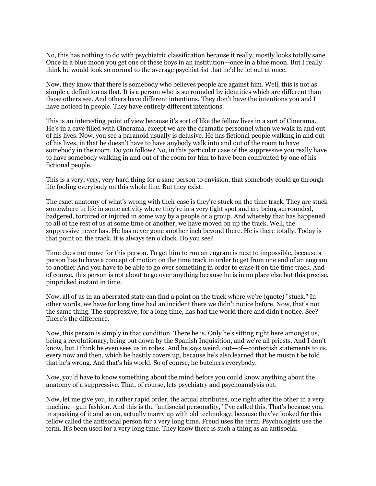No, this has nothing to do with psychiatric classification because it really, mostly looks totally sane. Once in a blue moon you get one of these boys in an institution—once in a blue moon. But I really think he would look so normal to the average psychiatrist that he'd be let out at once.

Now, they know that there is somebody who believes people are against him. Well, this is not as simple a definition as that. It is a person who is surrounded by identities which are different than those others see. And others have different intentions. They don't have the intentions you and I have noticed in people. They have entirely different intentions.

This is an interesting point of view because it's sort of like the fellow lives in a sort of Cinerama. He's in a cave filled with Cinerama, except we are the dramatic personnel when we walk in and out of his lives. Now, you see a paranoid usually is delusive. He has fictional people walking in and out of his lives, in that he doesn't have to have anybody walk into and out of the room to have somebody in the room. Do you follow? No, in this particular case of the suppressive you really have to have somebody walking in and out of the room for him to have been confronted by one of his fictional people.

This is a very, very, very hard thing for a sane person to envision, that somebody could go through life fooling everybody on this whole line. But they exist.

The exact anatomy of what's wrong with their case is they're stuck on the time track. They are stuck somewhere in life in some activity where they're in a very tight spot and are being surrounded, badgered, tortured or injured in some way by a people or a group. And whereby that has happened to all of the rest of us at some time or another, we have moved on up the track. Well, the suppressive never has. He has never gone another inch beyond there. He is there totally. Today is that point on the track. It is always ten o'clock. Do you see?

Time does not move for this person. To get him to run an engram is next to impossible, because a person has to have a concept of motion on the time track in order to get from one end of an engram to another And you have to be able to go over something in order to erase it on the time track. And of course, this person is not about to go over anything because he is in no place else but this precise, pinpricked instant in time.

Now, all of us in an aberrated state can find a point on the track where we're (quote) "stuck." In other words, we have for long time had an incident there we didn't notice before. Now, that's not the same thing. The suppressive, for a long time, has had the world there and didn't notice. See? There's the difference.

Now, this person is simply in that condition. There he is. Only he's sitting right here amongst us, being a revolutionary, being put down by the Spanish Inquisition, and we're all priests. And I don't know, but I think he even sees us in robes. And he says weird, out—of—contextish statements to us, every now and then, which he hastily covers up, because he's also learned that he mustn't be told that he's wrong. And that's his world. So of course, he butchers everybody.

Now, you'd have to know something about the mind before you could know anything about the anatomy of a suppressive. That, of course, lets psychiatry and psychoanalysis out.

Now, let me give you, in rather rapid order, the actual attributes, one right after the other in a very machine—gun fashion. And this is the "antisocial personality," I've called this. That's because you, in speaking of it and so on, actually marry up with old technology, because they've looked for this fellow called the antisocial person for a very long time. Freud uses the term. Psychologists use the term. It's been used for a very long time. They know there is such a thing as an antisocial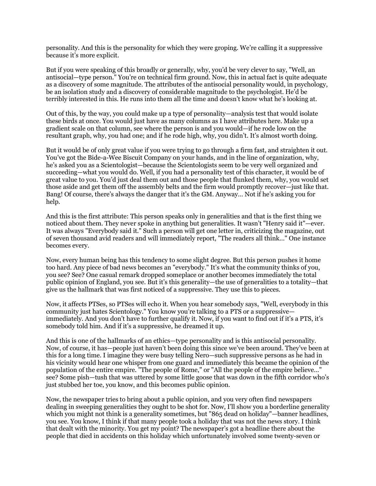personality. And this is the personality for which they were groping. We're calling it a suppressive because it's more explicit.

But if you were speaking of this broadly or generally, why, you'd be very clever to say, "Well, an antisocial—type person." You're on technical firm ground. Now, this in actual fact is quite adequate as a discovery of some magnitude. The attributes of the antisocial personality would, in psychology, be an isolation study and a discovery of considerable magnitude to the psychologist. He'd be terribly interested in this. He runs into them all the time and doesn't know what he's looking at.

Out of this, by the way, you could make up a type of personality—analysis test that would isolate these birds at once. You would just have as many columns as I have attributes here. Make up a gradient scale on that column, see where the person is and you would—if he rode low on the resultant graph, why, you had one; and if he rode high, why, you didn't. It's almost worth doing.

But it would be of only great value if you were trying to go through a firm fast, and straighten it out. You've got the Bide-a-Wee Biscuit Company on your hands, and in the line of organization, why, he's asked you as a Scientologist—because the Scientologists seem to be very well organized and succeeding—what you would do. Well, if you had a personality test of this character, it would be of great value to you. You'd just deal them out and those people that flunked them, why, you would set those aside and get them off the assembly belts and the firm would promptly recover—just like that. Bang! Of course, there's always the danger that it's the GM. Anyway… Not if he's asking you for help.

And this is the first attribute: This person speaks only in generalities and that is the first thing we noticed about them. They never spoke in anything but generalities. It wasn't "Henry said it"—ever. It was always "Everybody said it." Such a person will get one letter in, criticizing the magazine, out of seven thousand avid readers and will immediately report, "The readers all think…" One instance becomes every.

Now, every human being has this tendency to some slight degree. But this person pushes it home too hard. Any piece of bad news becomes an "everybody." It's what the community thinks of you, you see? See? One casual remark dropped someplace or another becomes immediately the total public opinion of England, you see. But it's this generality—the use of generalities to a totality—that give us the hallmark that was first noticed of a suppressive. They use this to pieces.

Now, it affects PTSes, so PTSes will echo it. When you hear somebody says, "Well, everybody in this community just hates Scientology." You know you're talking to a PTS or a suppressive immediately. And you don't have to further qualify it. Now, if you want to find out if it's a PTS, it's somebody told him. And if it's a suppressive, he dreamed it up.

And this is one of the hallmarks of an ethics—type personality and is this antisocial personality. Now, of course, it has—people just haven't been doing this since we've been around. They've been at this for a long time. I imagine they were busy telling Nero—such suppressive persons as he had in his vicinity would hear one whisper from one guard and immediately this became the opinion of the population of the entire empire. "The people of Rome," or "All the people of the empire believe…" see? Some pish—tush that was uttered by some little goose that was down in the fifth corridor who's just stubbed her toe, you know, and this becomes public opinion.

Now, the newspaper tries to bring about a public opinion, and you very often find newspapers dealing in sweeping generalities they ought to be shot for. Now, I'll show you a borderline generality which you might not think is a generality sometimes, but "865 dead on holiday"—banner headlines, you see. You know, I think if that many people took a holiday that was not the news story. I think that dealt with the minority. You get my point? The newspaper's got a headline there about the people that died in accidents on this holiday which unfortunately involved some twenty-seven or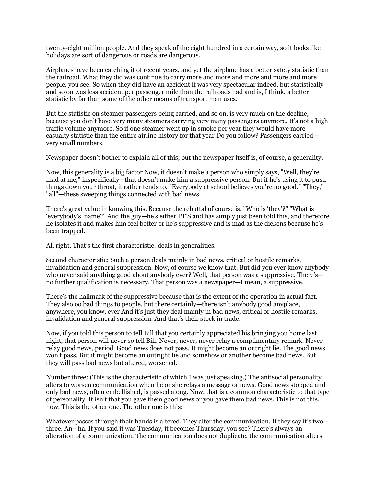twenty-eight million people. And they speak of the eight hundred in a certain way, so it looks like holidays are sort of dangerous or roads are dangerous.

Airplanes have been catching it of recent years, and yet the airplane has a better safety statistic than the railroad. What they did was continue to carry more and more and more and more and more people, you see. So when they did have an accident it was very spectacular indeed, but statistically and so on was less accident per passenger mile than the railroads had and is, I think, a better statistic by far than some of the other means of transport man uses.

But the statistic on steamer passengers being carried, and so on, is very much on the decline, because you don't have very many steamers carrying very many passengers anymore. It's not a high traffic volume anymore. So if one steamer went up in smoke per year they would have more casualty statistic than the entire airline history for that year Do you follow? Passengers carried very small numbers.

Newspaper doesn't bother to explain all of this, but the newspaper itself is, of course, a generality.

Now, this generality is a big factor Now, it doesn't make a person who simply says, "Well, they're mad at me," inspecifically—that doesn't make him a suppressive person. But if he's using it to push things down your throat, it rather tends to. "Everybody at school believes you're no good." "They," "all"—these sweeping things connected with bad news.

There's great value in knowing this. Because the rebuttal of course is, "Who is 'they'?" "What is 'everybody's' name?" And the guy—he's either PT'S and has simply just been told this, and therefore he isolates it and makes him feel better or he's suppressive and is mad as the dickens because he's been trapped.

All right. That's the first characteristic: deals in generalities.

Second characteristic: Such a person deals mainly in bad news, critical or hostile remarks, invalidation and general suppression. Now, of course we know that. But did you ever know anybody who never said anything good about anybody ever? Well, that person was a suppressive. There's no further qualification is necessary. That person was a newspaper—I mean, a suppressive.

There's the hallmark of the suppressive because that is the extent of the operation in actual fact. They also oo bad things to people, but there certainly—there isn't anybody good anyplace, anywhere, you know, ever And it's just they deal mainly in bad news, critical or hostile remarks, invalidation and general suppression. And that's their stock in trade.

Now, if you told this person to tell Bill that you certainly appreciated his bringing you home last night, that person will never so tell Bill. Never, never, never relay a complimentary remark. Never relay good news, period. Good news does not pass. It might become an outright lie. The good news won't pass. But it might become an outright lie and somehow or another become bad news. But they will pass bad news but altered, worsened.

Number three: (This is the characteristic of which I was just speaking.) The antisocial personality alters to worsen communication when he or she relays a message or news. Good news stopped and only bad news, often embellished, is passed along. Now, that is a common characteristic to that type of personality. It isn't that you gave them good news or you gave them bad news. This is not this, now. This is the other one. The other one is this:

Whatever passes through their hands is altered. They alter the communication. If they say it's two three. An—ha. If you said it was Tuesday, it becomes Thursday, you see? There's always an alteration of a communication. The communication does not duplicate, the communication alters.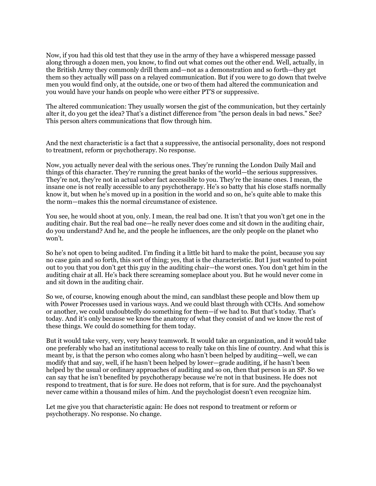Now, if you had this old test that they use in the army of they have a whispered message passed along through a dozen men, you know, to find out what comes out the other end. Well, actually, in the British Army they commonly drill them and—not as a demonstration and so forth—they get them so they actually will pass on a relayed communication. But if you were to go down that twelve men you would find only, at the outside, one or two of them had altered the communication and you would have your hands on people who were either PT'S or suppressive.

The altered communication: They usually worsen the gist of the communication, but they certainly alter it, do you get the idea? That's a distinct difference from "the person deals in bad news." See? This person alters communications that flow through him.

And the next characteristic is a fact that a suppressive, the antisocial personality, does not respond to treatment, reform or psychotherapy. No response.

Now, you actually never deal with the serious ones. They're running the London Daily Mail and things of this character. They're running the great banks of the world—the serious suppressives. They're not, they're not in actual sober fact accessible to you. They're the insane ones. I mean, the insane one is not really accessible to any psychotherapy. He's so batty that his close staffs normally know it, but when he's moved up in a position in the world and so on, he's quite able to make this the norm—makes this the normal circumstance of existence.

You see, he would shoot at you, only. I mean, the real bad one. It isn't that you won't get one in the auditing chair. But the real bad one—he really never does come and sit down in the auditing chair, do you understand? And he, and the people he influences, are the only people on the planet who won't.

So he's not open to being audited. I'm finding it a little bit hard to make the point, because you say no case gain and so forth, this sort of thing; yes, that is the characteristic. But I just wanted to point out to you that you don't get this guy in the auditing chair—the worst ones. You don't get him in the auditing chair at all. He's back there screaming someplace about you. But he would never come in and sit down in the auditing chair.

So we, of course, knowing enough about the mind, can sandblast these people and blow them up with Power Processes used in various ways. And we could blast through with CCHs. And somehow or another, we could undoubtedly do something for them—if we had to. But that's today. That's today. And it's only because we know the anatomy of what they consist of and we know the rest of these things. We could do something for them today.

But it would take very, very, very heavy teamwork. It would take an organization, and it would take one preferably who had an institutional access to really take on this line of country. And what this is meant by, is that the person who comes along who hasn't been helped by auditing—well, we can modify that and say, well, if he hasn't been helped by lower—grade auditing, if he hasn't been helped by the usual or ordinary approaches of auditing and so on, then that person is an SP. So we can say that he isn't benefited by psychotherapy because we're not in that business. He does not respond to treatment, that is for sure. He does not reform, that is for sure. And the psychoanalyst never came within a thousand miles of him. And the psychologist doesn't even recognize him.

Let me give you that characteristic again: He does not respond to treatment or reform or psychotherapy. No response. No change.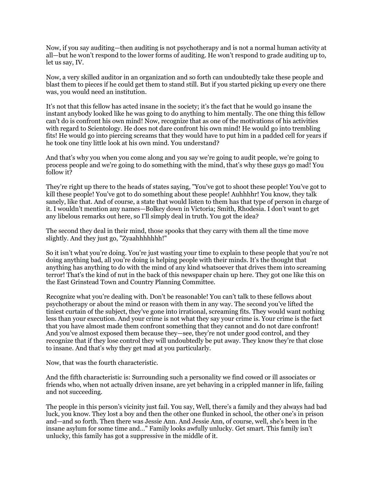Now, if you say auditing—then auditing is not psychotherapy and is not a normal human activity at all—but he won't respond to the lower forms of auditing. He won't respond to grade auditing up to, let us say, IV.

Now, a very skilled auditor in an organization and so forth can undoubtedly take these people and blast them to pieces if he could get them to stand still. But if you started picking up every one there was, you would need an institution.

It's not that this fellow has acted insane in the society; it's the fact that he would go insane the instant anybody looked like he was going to do anything to him mentally. The one thing this fellow can't do is confront his own mind! Now, recognize that as one of the motivations of his activities with regard to Scientology. He does not dare confront his own mind! He would go into trembling fits! He would go into piercing screams that they would have to put him in a padded cell for years if he took one tiny little look at his own mind. You understand?

And that's why you when you come along and you say we're going to audit people, we're going to process people and we're going to do something with the mind, that's why these guys go mad! You follow it?

They're right up there to the heads of states saying, "You've got to shoot these people! You've got to kill these people! You've got to do something about these people! Auhhhhr! You know, they talk sanely, like that. And of course, a state that would listen to them has that type of person in charge of it. I wouldn't mention any names—Bolkey down in Victoria; Smith, Rhodesia. I don't want to get any libelous remarks out here, so I'll simply deal in truth. You got the idea?

The second they deal in their mind, those spooks that they carry with them all the time move slightly. And they just go, "Zyaahhhhhhh!"

So it isn't what you're doing. You're just wasting your time to explain to these people that you're not doing anything bad, all you're doing is helping people with their minds. It's the thought that anything has anything to do with the mind of any kind whatsoever that drives them into screaming terror! That's the kind of nut in the back of this newspaper chain up here. They got one like this on the East Grinstead Town and Country Planning Committee.

Recognize what you're dealing with. Don't be reasonable! You can't talk to these fellows about psychotherapy or about the mind or reason with them in any way. The second you've lifted the tiniest curtain of the subject, they've gone into irrational, screaming fits. They would want nothing less than your execution. And your crime is not what they say your crime is. Your crime is the fact that you have almost made them confront something that they cannot and do not dare confront! And you've almost exposed them because they—see, they're not under good control, and they recognize that if they lose control they will undoubtedly be put away. They know they're that close to insane. And that's why they get mad at you particularly.

Now, that was the fourth characteristic.

And the fifth characteristic is: Surrounding such a personality we find cowed or ill associates or friends who, when not actually driven insane, are yet behaving in a crippled manner in life, failing and not succeeding.

The people in this person's vicinity just fail. You say, Well, there's a family and they always had bad luck, you know. They lost a boy and then the other one flunked in school, the other one's in prison and—and so forth. Then there was Jessie Ann. And Jessie Ann, of course, well, she's been in the insane asylum for some time and…" Family looks awfully unlucky. Get smart. This family isn't unlucky, this family has got a suppressive in the middle of it.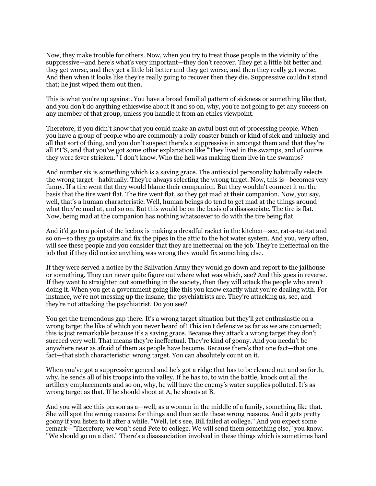Now, they make trouble for others. Now, when you try to treat those people in the vicinity of the suppressive—and here's what's very important—they don't recover. They get a little bit better and they get worse, and they get a little bit better and they get worse, and then they really get worse. And then when it looks like they're really going to recover then they die. Suppressive couldn't stand that; he just wiped them out then.

This is what you're up against. You have a broad familial pattern of sickness or something like that, and you don't do anything ethicswise about it and so on, why, you're not going to get any success on any member of that group, unless you handle it from an ethics viewpoint.

Therefore, if you didn't know that you could make an awful bust out of processing people. When you have a group of people who are commonly a rolly coaster bunch or kind of sick and unlucky and all that sort of thing, and you don't suspect there's a suppressive in amongst them and that they're all PT'S, and that you've got some other explanation like "They lived in the swamps, and of course they were fever stricken." I don't know. Who the hell was making them live in the swamps?

And number six is something which is a saving grace. The antisocial personality habitually selects the wrong target—habitually. They're always selecting the wrong target. Now, this is—becomes very funny. If a tire went flat they would blame their companion. But they wouldn't connect it on the basis that the tire went flat. The tire went flat, so they got mad at their companion. Now, you say, well, that's a human characteristic. Well, human beings do tend to get mad at the things around what they're mad at, and so on. But this would be on the basis of a disassociate. The tire is flat. Now, being mad at the companion has nothing whatsoever to do with the tire being flat.

And it'd go to a point of the icebox is making a dreadful racket in the kitchen—see, rat-a-tat-tat and so on—so they go upstairs and fix the pipes in the attic to the hot water system. And you, very often, will see these people and you consider that they are ineffectual on the job. They're ineffectual on the job that if they did notice anything was wrong they would fix something else.

If they were served a notice by the Salivation Army they would go down and report to the jailhouse or something. They can never quite figure out where what was which, see? And this goes in reverse. If they want to straighten out something in the society, then they will attack the people who aren't doing it. When you get a government going like this you know exactly what you're dealing with. For instance, we're not messing up the insane; the psychiatrists are. They're attacking us, see, and they're not attacking the psychiatrist. Do you see?

You get the tremendous gap there. It's a wrong target situation but they'll get enthusiastic on a wrong target the like of which you never heard of! This isn't defensive as far as we are concerned; this is just remarkable because it's a saving grace. Because they attack a wrong target they don't succeed very well. That means they're ineffectual. They're kind of goony. And you needn't be anywhere near as afraid of them as people have become. Because there's that one fact—that one fact—that sixth characteristic: wrong target. You can absolutely count on it.

When you've got a suppressive general and he's got a ridge that has to be cleaned out and so forth, why, he sends all of his troops into the valley. If he has to, to win the battle, knock out all the artillery emplacements and so on, why, he will have the enemy's water supplies polluted. It's as wrong target as that. If he should shoot at A, he shoots at B.

And you will see this person as a—well, as a woman in the middle of a family, something like that. She will spot the wrong reasons for things and then settle these wrong reasons. And it gets pretty goony if you listen to it after a while. "Well, let's see, Bill failed at college." And you expect some remark—"Therefore, we won't send Pete to college. We will send them something else," you know. "We should go on a diet." There's a disassociation involved in these things which is sometimes hard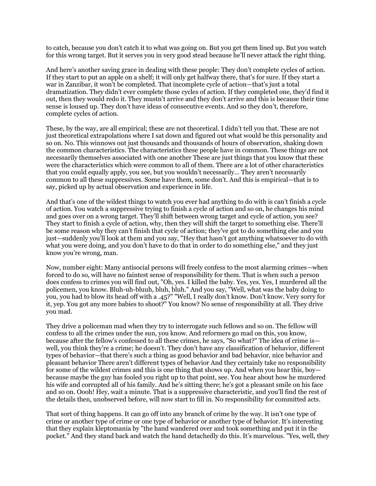to catch, because you don't catch it to what was going on. But you get them lined up. But you watch for this wrong target. But it serves you in very good stead because he'll never attack the right thing.

And here's another saving grace in dealing with these people: They don't complete cycles of action. If they start to put an apple on a shelf; it will only get halfway there, that's for sure. If they start a war in Zanzibar, it won't be completed. That incomplete cycle of action—that's just a total dramatization. They didn't ever complete those cycles of action. If they completed one, they'd find it out, then they would redo it. They mustn't arrive and they don't arrive and this is because their time sense is loused up. They don't have ideas of consecutive events. And so they don't, therefore, complete cycles of action.

These, by the way, are all empirical; these are not theoretical. I didn't tell you that. These are not just theoretical extrapolations where I sat down and figured out what would be this personality and so on. No. This winnows out just thousands and thousands of hours of observation, shaking down the common characteristics. The characteristics these people have in common. These things are not necessarily themselves associated with one another These are just things that you know that these were the characteristics which were common to all of them. There are a lot of other characteristics that you could equally apply, you see, but you wouldn't necessarily… They aren't necessarily common to all these suppressives. Some have them, some don't. And this is empirical—that is to say, picked up by actual observation and experience in life.

And that's one of the wildest things to watch you ever had anything to do with is can't finish a cycle of action. You watch a suppressive trying to finish a cycle of action and so on, he changes his mind and goes over on a wrong target. They'll shift between wrong target and cycle of action, you see? They start to finish a cycle of action, why, then they will shift the target to something else. There'll be some reason why they can't finish that cycle of action; they've got to do something else and you just—suddenly you'll look at them and you say, "Hey that hasn't got anything whatsoever to do with what you were doing, and you don't have to do that in order to do something else," and they just know you're wrong, man.

Now, number eight: Many antisocial persons will freely confess to the most alarming crimes—when forced to do so, will have no faintest sense of responsibility for them. That is when such a person does confess to crimes you will find out, "Oh, yes. I killed the baby. Yes, yes. Yes, I murdered all the policemen, you know. Bluh-uh-bluuh, bluh, bluh." And you say, "Well, what was the baby doing to you, you had to blow its head off with a .45?" "Well, I really don't know. Don't know. Very sorry for it, yep. You got any more babies to shoot?" You know? No sense of responsibility at all. They drive you mad.

They drive a policeman mad when they try to interrogate such fellows and so on. The fellow will confess to all the crimes under the sun, you know. And reformers go mad on this, you know, because after the fellow's confessed to all these crimes, he says, "So what?" The idea of crime is well, you think they're a crime; he doesn't. They don't have any classification of behavior, different types of behavior—that there's such a thing as good behavior and bad behavior, nice behavior and pleasant behavior There aren't different types of behavior And they certainly take no responsibility for some of the wildest crimes and this is one thing that shows up. And when you hear this, boy because maybe the guy has fooled you right up to that point, see. You hear about how he murdered his wife and corrupted all of his family. And he's sitting there; he's got a pleasant smile on his face and so on. Oooh! Hey, wait a minute. That is a suppressive characteristic, and you'll find the rest of the details then, unobserved before, will now start to fill in. No responsibility for committed acts.

That sort of thing happens. It can go off into any branch of crime by the way. It isn't one type of crime or another type of crime or one type of behavior or another type of behavior. It's interesting that they explain kleptomania by "the hand wandered over and took something and put it in the pocket." And they stand back and watch the hand detachedly do this. It's marvelous. "Yes, well, they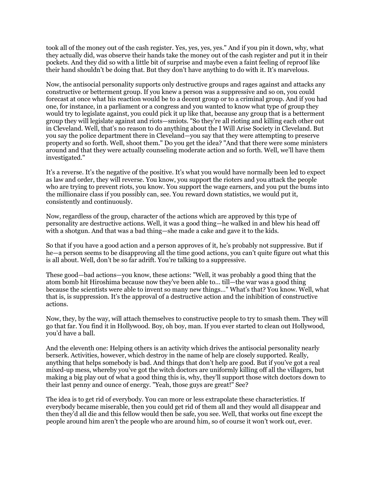took all of the money out of the cash register. Yes, yes, yes, yes." And if you pin it down, why, what they actually did, was observe their hands take the money out of the cash register and put it in their pockets. And they did so with a little bit of surprise and maybe even a faint feeling of reproof like their hand shouldn't be doing that. But they don't have anything to do with it. It's marvelous.

Now, the antisocial personality supports only destructive groups and rages against and attacks any constructive or betterment group. If you knew a person was a suppressive and so on, you could forecast at once what his reaction would be to a decent group or to a criminal group. And if you had one, for instance, in a parliament or a congress and you wanted to know what type of group they would try to legislate against, you could pick it up like that, because any group that is a betterment group they will legislate against and riots—smiots. "So they're all rioting and killing each other out in Cleveland. Well, that's no reason to do anything about the I Will Arise Society in Cleveland. But you say the police department there in Cleveland—you say that they were attempting to preserve property and so forth. Well, shoot them." Do you get the idea? "And that there were some ministers around and that they were actually counseling moderate action and so forth. Well, we'll have them investigated."

It's a reverse. It's the negative of the positive. It's what you would have normally been led to expect as law and order, they will reverse. You know, you support the rioters and you attack the people who are trying to prevent riots, you know. You support the wage earners, and you put the bums into the millionaire class if you possibly can, see. You reward down statistics, we would put it, consistently and continuously.

Now, regardless of the group, character of the actions which are approved by this type of personality are destructive actions. Well, it was a good thing—he walked in and blew his head off with a shotgun. And that was a bad thing—she made a cake and gave it to the kids.

So that if you have a good action and a person approves of it, he's probably not suppressive. But if he—a person seems to be disapproving all the time good actions, you can't quite figure out what this is all about. Well, don't be so far adrift. You're talking to a suppressive.

These good—bad actions—you know, these actions: "Well, it was probably a good thing that the atom bomb hit Hiroshima because now they've been able to… till—the war was a good thing because the scientists were able to invent so many new things…" What's that? You know. Well, what that is, is suppression. It's the approval of a destructive action and the inhibition of constructive actions.

Now, they, by the way, will attach themselves to constructive people to try to smash them. They will go that far. You find it in Hollywood. Boy, oh boy, man. If you ever started to clean out Hollywood, you'd have a ball.

And the eleventh one: Helping others is an activity which drives the antisocial personality nearly berserk. Activities, however, which destroy in the name of help are closely supported. Really, anything that helps somebody is bad. And things that don't help are good. But if you've got a real mixed-up mess, whereby you've got the witch doctors are uniformly killing off all the villagers, but making a big play out of what a good thing this is, why, they'll support those witch doctors down to their last penny and ounce of energy. "Yeah, those guys are great!" See?

The idea is to get rid of everybody. You can more or less extrapolate these characteristics. If everybody became miserable, then you could get rid of them all and they would all disappear and then they'd all die and this fellow would then be safe, you see. Well, that works out fine except the people around him aren't the people who are around him, so of course it won't work out, ever.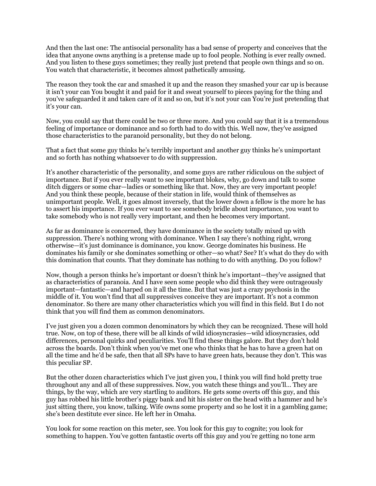And then the last one: The antisocial personality has a bad sense of property and conceives that the idea that anyone owns anything is a pretense made up to fool people. Nothing is ever really owned. And you listen to these guys sometimes; they really just pretend that people own things and so on. You watch that characteristic, it becomes almost pathetically amusing.

The reason they took the car and smashed it up and the reason they smashed your car up is because it isn't your can You bought it and paid for it and sweat yourself to pieces paying for the thing and you've safeguarded it and taken care of it and so on, but it's not your can You're just pretending that it's your can.

Now, you could say that there could be two or three more. And you could say that it is a tremendous feeling of importance or dominance and so forth had to do with this. Well now, they've assigned those characteristics to the paranoid personality, but they do not belong.

That a fact that some guy thinks he's terribly important and another guy thinks he's unimportant and so forth has nothing whatsoever to do with suppression.

It's another characteristic of the personality, and some guys are rather ridiculous on the subject of importance. But if you ever really want to see important blokes, why, go down and talk to some ditch diggers or some char—ladies or something like that. Now, they are very important people! And you think these people, because of their station in life, would think of themselves as unimportant people. Well, it goes almost inversely, that the lower down a fellow is the more he has to assert his importance. If you ever want to see somebody bridle about importance, you want to take somebody who is not really very important, and then he becomes very important.

As far as dominance is concerned, they have dominance in the society totally mixed up with suppression. There's nothing wrong with dominance. When I say there's nothing right, wrong otherwise—it's just dominance is dominance, you know. George dominates his business. He dominates his family or she dominates something or other—so what? See? It's what do they do with this domination that counts. That they dominate has nothing to do with anything. Do you follow?

Now, though a person thinks he's important or doesn't think he's important—they've assigned that as characteristics of paranoia. And I have seen some people who did think they were outrageously important—fantastic—and harped on it all the time. But that was just a crazy psychosis in the middle of it. You won't find that all suppressives conceive they are important. It's not a common denominator. So there are many other characteristics which you will find in this field. But I do not think that you will find them as common denominators.

I've just given you a dozen common denominators by which they can be recognized. These will hold true. Now, on top of these, there will be all kinds of wild idiosyncrasies—wild idiosyncrasies, odd differences, personal quirks and peculiarities. You'll find these things galore. But they don't hold across the boards. Don't think when you've met one who thinks that he has to have a green hat on all the time and he'd be safe, then that all SPs have to have green hats, because they don't. This was this peculiar SP.

But the other dozen characteristics which I've just given you, I think you will find hold pretty true throughout any and all of these suppressives. Now, you watch these things and you'll… They are things, by the way, which are very startling to auditors. He gets some overts off this guy, and this guy has robbed his little brother's piggy bank and hit his sister on the head with a hammer and he's just sitting there, you know, talking. Wife owns some property and so he lost it in a gambling game; she's been destitute ever since. He left her in Omaha.

You look for some reaction on this meter, see. You look for this guy to cognite; you look for something to happen. You've gotten fantastic overts off this guy and you're getting no tone arm